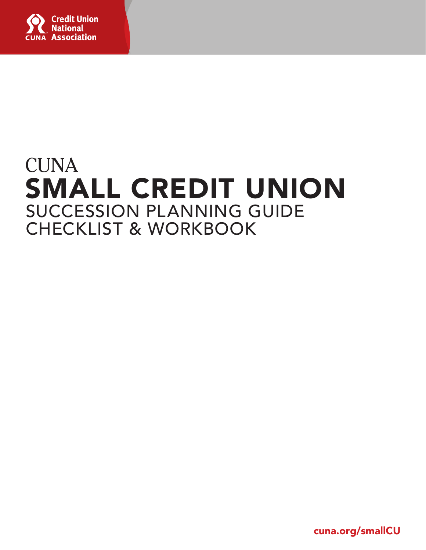

# **CUNA SMALL CREDIT UNION SUCCESSION PLANNING GUIDE CHECKLIST & WORKBOOK**

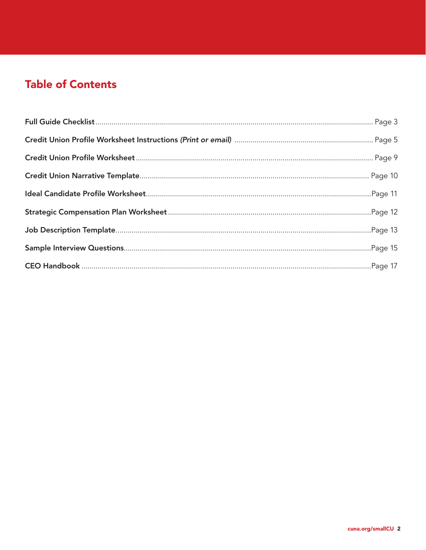### **Table of Contents**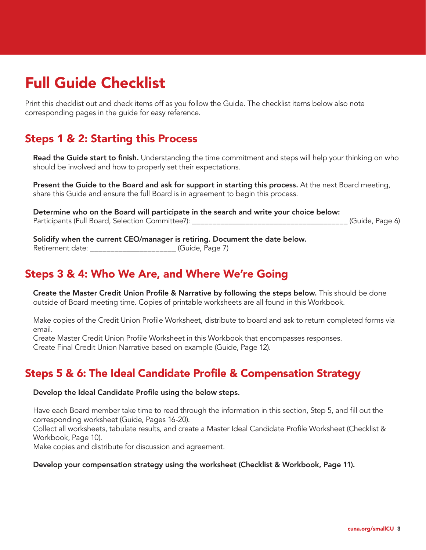## Full Guide Checklist

Print this checklist out and check items off as you follow the Guide. The checklist items below also note corresponding pages in the guide for easy reference.

### Steps 1 & 2: Starting this Process

Read the Guide start to finish. Understanding the time commitment and steps will help your thinking on who should be involved and how to properly set their expectations.

Present the Guide to the Board and ask for support in starting this process. At the next Board meeting, share this Guide and ensure the full Board is in agreement to begin this process.

Determine who on the Board will participate in the search and write your choice below: Participants (Full Board, Selection Committee?): \_\_\_\_\_\_\_\_\_\_\_\_\_\_\_\_\_\_\_\_\_\_\_\_\_\_\_\_\_\_\_\_\_\_\_\_\_\_ (Guide, Page 6)

Solidify when the current CEO/manager is retiring. Document the date below. Retirement date: \_\_\_\_\_\_\_\_\_\_\_\_\_\_\_\_\_\_\_\_\_ (Guide, Page 7)

### Steps 3 & 4: Who We Are, and Where We're Going

Create the Master Credit Union Profile & Narrative by following the steps below. This should be done outside of Board meeting time. Copies of printable worksheets are all found in this Workbook.

Make copies of the Credit Union Profile Worksheet, distribute to board and ask to return completed forms via email.

Create Master Credit Union Profile Worksheet in this Workbook that encompasses responses.

Create Final Credit Union Narrative based on example (Guide, Page 12).

### Steps 5 & 6: The Ideal Candidate Profile & Compensation Strategy

#### Develop the Ideal Candidate Profile using the below steps.

Have each Board member take time to read through the information in this section, Step 5, and fill out the corresponding worksheet (Guide, Pages 16-20).

Collect all worksheets, tabulate results, and create a Master Ideal Candidate Profile Worksheet (Checklist & Workbook, Page 10).

Make copies and distribute for discussion and agreement.

#### Develop your compensation strategy using the worksheet (Checklist & Workbook, Page 11).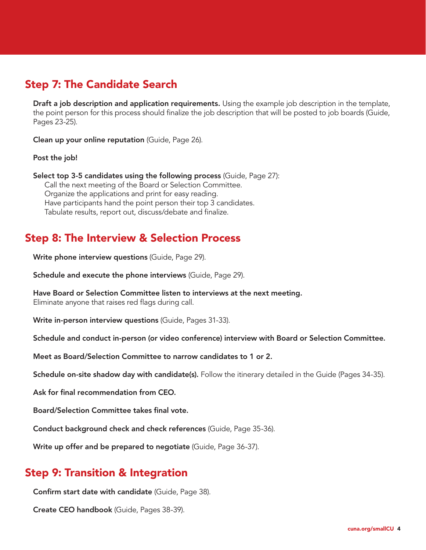### Step 7: The Candidate Search

Draft a job description and application requirements. Using the example job description in the template, the point person for this process should finalize the job description that will be posted to job boards (Guide, Pages 23-25).

Clean up your online reputation (Guide, Page 26).

Post the job!

Select top 3-5 candidates using the following process (Guide, Page 27): Call the next meeting of the Board or Selection Committee. Organize the applications and print for easy reading. Have participants hand the point person their top 3 candidates. Tabulate results, report out, discuss/debate and finalize.

### Step 8: The Interview & Selection Process

Write phone interview questions (Guide, Page 29).

Schedule and execute the phone interviews (Guide, Page 29).

Have Board or Selection Committee listen to interviews at the next meeting. Eliminate anyone that raises red flags during call.

Write in-person interview questions (Guide, Pages 31-33).

Schedule and conduct in-person (or video conference) interview with Board or Selection Committee.

Meet as Board/Selection Committee to narrow candidates to 1 or 2.

Schedule on-site shadow day with candidate(s). Follow the itinerary detailed in the Guide (Pages 34-35).

Ask for final recommendation from CEO.

Board/Selection Committee takes final vote.

Conduct background check and check references (Guide, Page 35-36).

Write up offer and be prepared to negotiate (Guide, Page 36-37).

### Step 9: Transition & Integration

Confirm start date with candidate (Guide, Page 38).

Create CEO handbook (Guide, Pages 38-39).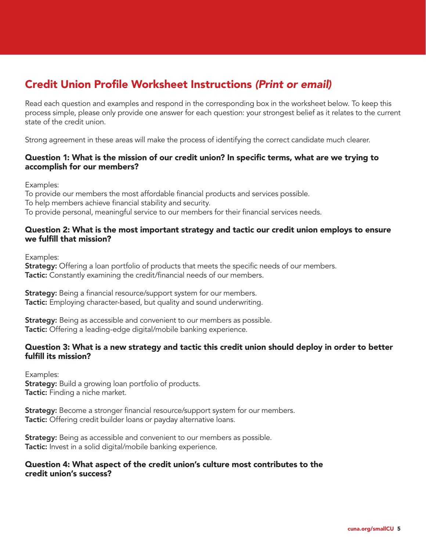### Credit Union Profile Worksheet Instructions *(Print or email)*

Read each question and examples and respond in the corresponding box in the worksheet below. To keep this process simple, please only provide one answer for each question: your strongest belief as it relates to the current state of the credit union.

Strong agreement in these areas will make the process of identifying the correct candidate much clearer.

#### Question 1: What is the mission of our credit union? In specific terms, what are we trying to accomplish for our members?

Examples:

To provide our members the most affordable financial products and services possible. To help members achieve financial stability and security. To provide personal, meaningful service to our members for their financial services needs.

#### Question 2: What is the most important strategy and tactic our credit union employs to ensure we fulfill that mission?

Examples:

**Strategy:** Offering a loan portfolio of products that meets the specific needs of our members. Tactic: Constantly examining the credit/financial needs of our members.

**Strategy:** Being a financial resource/support system for our members. Tactic: Employing character-based, but quality and sound underwriting.

**Strategy:** Being as accessible and convenient to our members as possible. Tactic: Offering a leading-edge digital/mobile banking experience.

#### Question 3: What is a new strategy and tactic this credit union should deploy in order to better fulfill its mission?

Examples: **Strategy:** Build a growing loan portfolio of products. **Tactic:** Finding a niche market.

**Strategy:** Become a stronger financial resource/support system for our members. Tactic: Offering credit builder loans or payday alternative loans.

**Strategy:** Being as accessible and convenient to our members as possible. Tactic: Invest in a solid digital/mobile banking experience.

#### Question 4: What aspect of the credit union's culture most contributes to the credit union's success?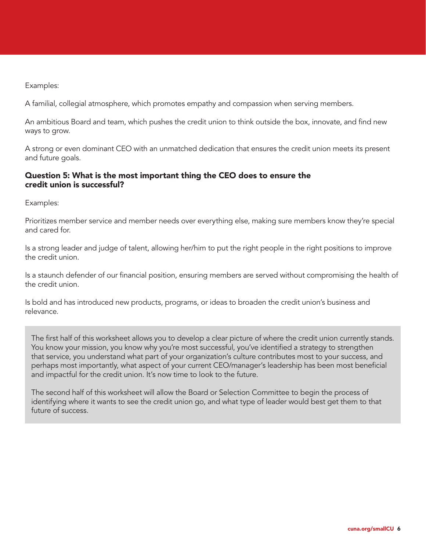Examples:

A familial, collegial atmosphere, which promotes empathy and compassion when serving members.

An ambitious Board and team, which pushes the credit union to think outside the box, innovate, and find new ways to grow.

A strong or even dominant CEO with an unmatched dedication that ensures the credit union meets its present and future goals.

#### Question 5: What is the most important thing the CEO does to ensure the credit union is successful?

Examples:

Prioritizes member service and member needs over everything else, making sure members know they're special and cared for.

Is a strong leader and judge of talent, allowing her/him to put the right people in the right positions to improve the credit union.

Is a staunch defender of our financial position, ensuring members are served without compromising the health of the credit union.

Is bold and has introduced new products, programs, or ideas to broaden the credit union's business and relevance.

The first half of this worksheet allows you to develop a clear picture of where the credit union currently stands. You know your mission, you know why you're most successful, you've identified a strategy to strengthen that service, you understand what part of your organization's culture contributes most to your success, and perhaps most importantly, what aspect of your current CEO/manager's leadership has been most beneficial and impactful for the credit union. It's now time to look to the future.

The second half of this worksheet will allow the Board or Selection Committee to begin the process of identifying where it wants to see the credit union go, and what type of leader would best get them to that future of success.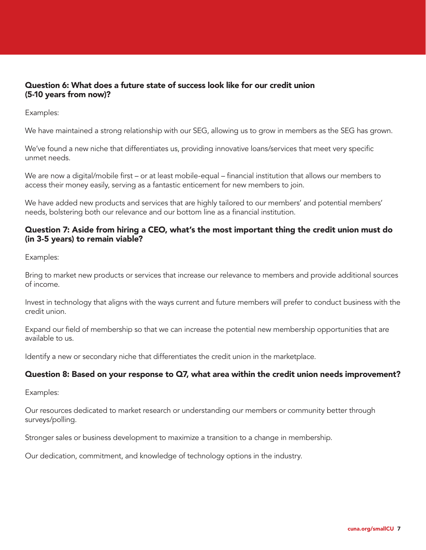#### Question 6: What does a future state of success look like for our credit union (5-10 years from now)?

#### Examples:

We have maintained a strong relationship with our SEG, allowing us to grow in members as the SEG has grown.

We've found a new niche that differentiates us, providing innovative loans/services that meet very specific unmet needs.

We are now a digital/mobile first – or at least mobile-equal – financial institution that allows our members to access their money easily, serving as a fantastic enticement for new members to join.

We have added new products and services that are highly tailored to our members' and potential members' needs, bolstering both our relevance and our bottom line as a financial institution.

#### Question 7: Aside from hiring a CEO, what's the most important thing the credit union must do (in 3-5 years) to remain viable?

Examples:

Bring to market new products or services that increase our relevance to members and provide additional sources of income.

Invest in technology that aligns with the ways current and future members will prefer to conduct business with the credit union.

Expand our field of membership so that we can increase the potential new membership opportunities that are available to us.

Identify a new or secondary niche that differentiates the credit union in the marketplace.

#### Question 8: Based on your response to Q7, what area within the credit union needs improvement?

Examples:

Our resources dedicated to market research or understanding our members or community better through surveys/polling.

Stronger sales or business development to maximize a transition to a change in membership.

Our dedication, commitment, and knowledge of technology options in the industry.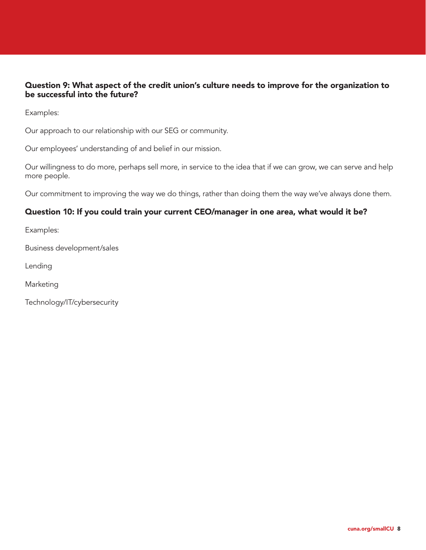#### Question 9: What aspect of the credit union's culture needs to improve for the organization to be successful into the future?

Examples:

Our approach to our relationship with our SEG or community.

Our employees' understanding of and belief in our mission.

Our willingness to do more, perhaps sell more, in service to the idea that if we can grow, we can serve and help more people.

Our commitment to improving the way we do things, rather than doing them the way we've always done them.

#### Question 10: If you could train your current CEO/manager in one area, what would it be?

Examples:

Business development/sales

Lending

Marketing

Technology/IT/cybersecurity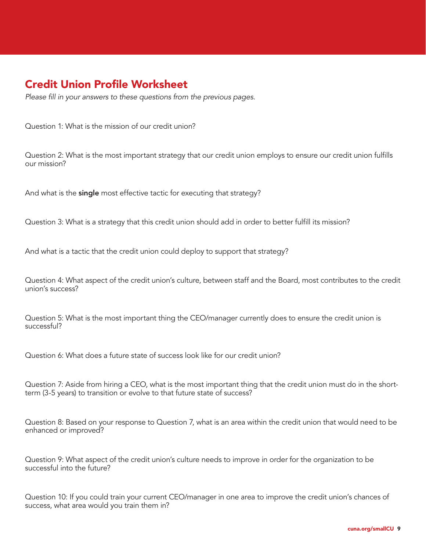### Credit Union Profile Worksheet

*Please fill in your answers to these questions from the previous pages.*

Question 1: What is the mission of our credit union?

Question 2: What is the most important strategy that our credit union employs to ensure our credit union fulfills our mission?

And what is the single most effective tactic for executing that strategy?

Question 3: What is a strategy that this credit union should add in order to better fulfill its mission?

And what is a tactic that the credit union could deploy to support that strategy?

Question 4: What aspect of the credit union's culture, between staff and the Board, most contributes to the credit union's success?

Question 5: What is the most important thing the CEO/manager currently does to ensure the credit union is successful?

Question 6: What does a future state of success look like for our credit union?

Question 7: Aside from hiring a CEO, what is the most important thing that the credit union must do in the shortterm (3-5 years) to transition or evolve to that future state of success?

Question 8: Based on your response to Question 7, what is an area within the credit union that would need to be enhanced or improved?

Question 9: What aspect of the credit union's culture needs to improve in order for the organization to be successful into the future?

Question 10: If you could train your current CEO/manager in one area to improve the credit union's chances of success, what area would you train them in?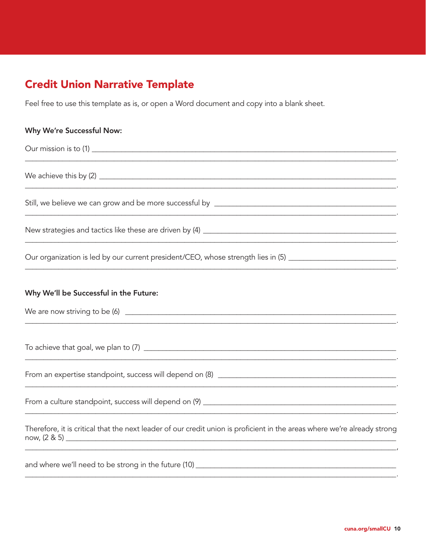### **Credit Union Narrative Template**

Feel free to use this template as is, or open a Word document and copy into a blank sheet.

| Why We're Successful Now:                                                                                                |  |  |
|--------------------------------------------------------------------------------------------------------------------------|--|--|
|                                                                                                                          |  |  |
| ,我们也不能在这里的时候,我们也不能在这里的时候,我们也不能会在这里的时候,我们也不能会在这里的时候,我们也不能会在这里的时候,我们也不能会在这里的时候,我们也不                                        |  |  |
|                                                                                                                          |  |  |
|                                                                                                                          |  |  |
| Our organization is led by our current president/CEO, whose strength lies in (5) [100] [20] [20] [20] [20] [20           |  |  |
| Why We'll be Successful in the Future:                                                                                   |  |  |
|                                                                                                                          |  |  |
|                                                                                                                          |  |  |
|                                                                                                                          |  |  |
| and the control of the control of the control of the control of the control of the control of the control of the         |  |  |
| Therefore, it is critical that the next leader of our credit union is proficient in the areas where we're already strong |  |  |
|                                                                                                                          |  |  |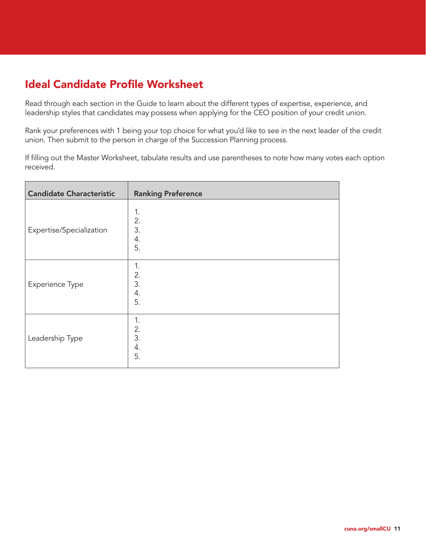### Ideal Candidate Profile Worksheet

Read through each section in the Guide to learn about the different types of expertise, experience, and leadership styles that candidates may possess when applying for the CEO position of your credit union.

Rank your preferences with 1 being your top choice for what you'd like to see in the next leader of the credit union. Then submit to the person in charge of the Succession Planning process.

If filling out the Master Worksheet, tabulate results and use parentheses to note how many votes each option received.

| <b>Candidate Characteristic</b> | <b>Ranking Preference</b>  |
|---------------------------------|----------------------------|
| Expertise/Specialization        | 1.<br>2.<br>3.<br>4.<br>5. |
| Experience Type                 | 1.<br>2.<br>3.<br>4.<br>5. |
| Leadership Type                 | 1.<br>2.<br>3.<br>4.<br>5. |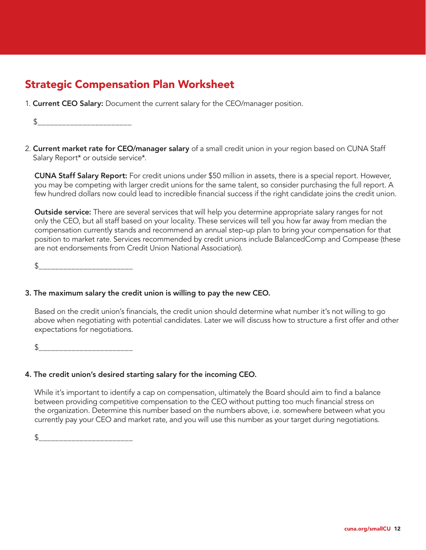### Strategic Compensation Plan Worksheet

1. Current CEO Salary: Document the current salary for the CEO/manager position.

\$\_\_\_\_\_\_\_\_\_\_\_\_\_\_\_\_\_\_\_\_\_\_\_

2. Current market rate for CEO/manager salary of a small credit union in your region based on CUNA Staff Salary Report\* or outside service\*.

CUNA Staff Salary Report: For credit unions under \$50 million in assets, there is a special report. However, you may be competing with larger credit unions for the same talent, so consider purchasing the full report. A few hundred dollars now could lead to incredible financial success if the right candidate joins the credit union.

**Outside service:** There are several services that will help you determine appropriate salary ranges for not only the CEO, but all staff based on your locality. These services will tell you how far away from median the compensation currently stands and recommend an annual step-up plan to bring your compensation for that position to market rate. Services recommended by credit unions include BalancedComp and Compease (these are not endorsements from Credit Union National Association).

\$\_\_\_\_\_\_\_\_\_\_\_\_\_\_\_\_\_\_\_\_\_\_\_

#### 3. The maximum salary the credit union is willing to pay the new CEO.

Based on the credit union's financials, the credit union should determine what number it's not willing to go above when negotiating with potential candidates. Later we will discuss how to structure a first offer and other expectations for negotiations.

 $\updownarrow$ 

#### 4. The credit union's desired starting salary for the incoming CEO.

While it's important to identify a cap on compensation, ultimately the Board should aim to find a balance between providing competitive compensation to the CEO without putting too much financial stress on the organization. Determine this number based on the numbers above, i.e. somewhere between what you currently pay your CEO and market rate, and you will use this number as your target during negotiations.

\$\_\_\_\_\_\_\_\_\_\_\_\_\_\_\_\_\_\_\_\_\_\_\_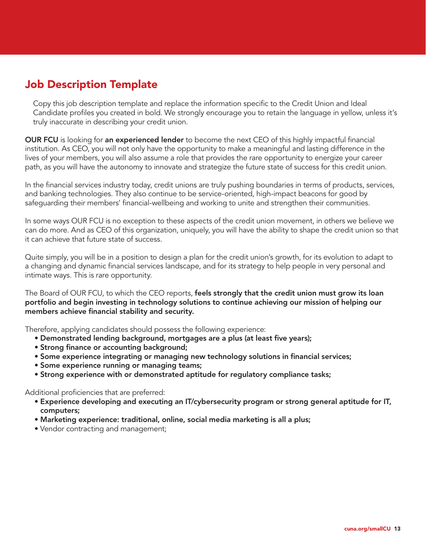### Job Description Template

Copy this job description template and replace the information specific to the Credit Union and Ideal Candidate profiles you created in bold. We strongly encourage you to retain the language in yellow, unless it's truly inaccurate in describing your credit union.

OUR FCU is looking for an experienced lender to become the next CEO of this highly impactful financial institution. As CEO, you will not only have the opportunity to make a meaningful and lasting difference in the lives of your members, you will also assume a role that provides the rare opportunity to energize your career path, as you will have the autonomy to innovate and strategize the future state of success for this credit union.

In the financial services industry today, credit unions are truly pushing boundaries in terms of products, services, and banking technologies. They also continue to be service-oriented, high-impact beacons for good by safeguarding their members' financial-wellbeing and working to unite and strengthen their communities.

In some ways OUR FCU is no exception to these aspects of the credit union movement, in others we believe we can do more. And as CEO of this organization, uniquely, you will have the ability to shape the credit union so that it can achieve that future state of success.

Quite simply, you will be in a position to design a plan for the credit union's growth, for its evolution to adapt to a changing and dynamic financial services landscape, and for its strategy to help people in very personal and intimate ways. This is rare opportunity.

The Board of OUR FCU, to which the CEO reports, feels strongly that the credit union must grow its loan portfolio and begin investing in technology solutions to continue achieving our mission of helping our members achieve financial stability and security.

Therefore, applying candidates should possess the following experience:

- Demonstrated lending background, mortgages are a plus (at least five years);
- Strong finance or accounting background;
- Some experience integrating or managing new technology solutions in financial services;
- Some experience running or managing teams;
- Strong experience with or demonstrated aptitude for regulatory compliance tasks;

Additional proficiencies that are preferred:

- Experience developing and executing an IT/cybersecurity program or strong general aptitude for IT, computers;
- Marketing experience: traditional, online, social media marketing is all a plus;
- Vendor contracting and management;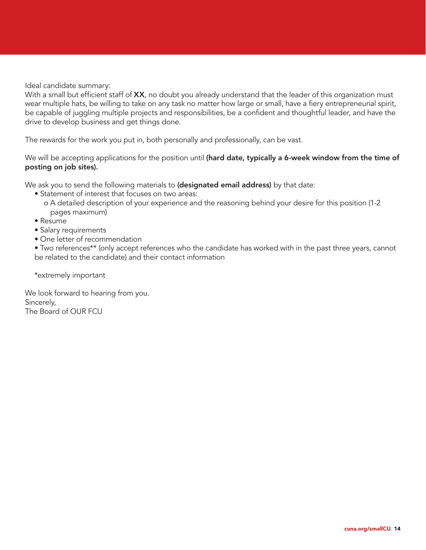Ideal candidate summary:

With a small but efficient staff of XX, no doubt you already understand that the leader of this organization must wear multiple hats, be willing to take on any task no matter how large or small, have a fiery entrepreneurial spirit, be capable of juggling multiple projects and responsibilities, be a confident and thoughtful leader, and have the drive to develop business and get things done.

The rewards for the work you put in, both personally and professionally, can be vast.

We will be accepting applications for the position until (hard date, typically a 6-week window from the time of posting on job sites).

We ask you to send the following materials to **(designated email address)** by that date:

- Statement of interest that focuses on two areas:
	- o A detailed description of your experience and the reasoning behind your desire for this position (1-2 pages maximum)
- Resume
- Salary requirements
- One letter of recommendation

• Two references\*\* (only accept references who the candidate has worked with in the past three years, cannot be related to the candidate) and their contact information

\*extremely important

We look forward to hearing from you. Sincerely, The Board of OUR FCU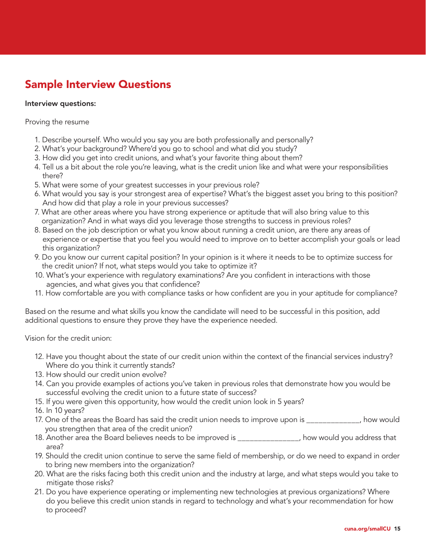### Sample Interview Questions

#### Interview questions:

#### Proving the resume

- 1. Describe yourself. Who would you say you are both professionally and personally?
- 2. What's your background? Where'd you go to school and what did you study?
- 3. How did you get into credit unions, and what's your favorite thing about them?
- 4. Tell us a bit about the role you're leaving, what is the credit union like and what were your responsibilities there?
- 5. What were some of your greatest successes in your previous role?
- 6. What would you say is your strongest area of expertise? What's the biggest asset you bring to this position? And how did that play a role in your previous successes?
- 7. What are other areas where you have strong experience or aptitude that will also bring value to this organization? And in what ways did you leverage those strengths to success in previous roles?
- 8. Based on the job description or what you know about running a credit union, are there any areas of experience or expertise that you feel you would need to improve on to better accomplish your goals or lead this organization?
- 9. Do you know our current capital position? In your opinion is it where it needs to be to optimize success for the credit union? If not, what steps would you take to optimize it?
- 10. What's your experience with regulatory examinations? Are you confident in interactions with those agencies, and what gives you that confidence?
- 11. How comfortable are you with compliance tasks or how confident are you in your aptitude for compliance?

Based on the resume and what skills you know the candidate will need to be successful in this position, add additional questions to ensure they prove they have the experience needed.

Vision for the credit union:

- 12. Have you thought about the state of our credit union within the context of the financial services industry? Where do you think it currently stands?
- 13. How should our credit union evolve?
- 14. Can you provide examples of actions you've taken in previous roles that demonstrate how you would be successful evolving the credit union to a future state of success?
- 15. If you were given this opportunity, how would the credit union look in 5 years?
- 16. In 10 years?
- 17. One of the areas the Board has said the credit union needs to improve upon is \_\_\_\_\_\_\_\_\_\_\_\_\_, how would you strengthen that area of the credit union?
- 18. Another area the Board believes needs to be improved is \_\_\_\_\_\_\_\_\_\_\_\_\_\_\_, how would you address that area?
- 19. Should the credit union continue to serve the same field of membership, or do we need to expand in order to bring new members into the organization?
- 20. What are the risks facing both this credit union and the industry at large, and what steps would you take to mitigate those risks?
- 21. Do you have experience operating or implementing new technologies at previous organizations? Where do you believe this credit union stands in regard to technology and what's your recommendation for how to proceed?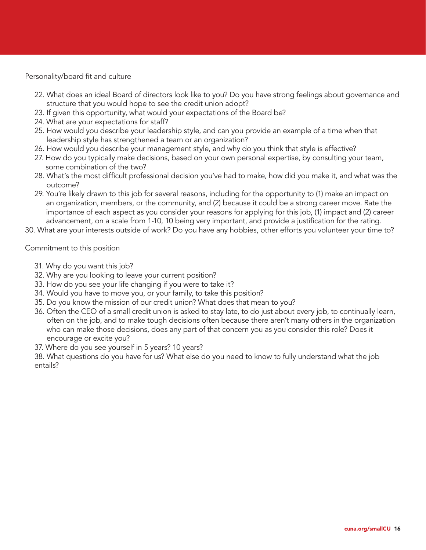Personality/board fit and culture

- 22. What does an ideal Board of directors look like to you? Do you have strong feelings about governance and structure that you would hope to see the credit union adopt?
- 23. If given this opportunity, what would your expectations of the Board be?
- 24. What are your expectations for staff?
- 25. How would you describe your leadership style, and can you provide an example of a time when that leadership style has strengthened a team or an organization?
- 26. How would you describe your management style, and why do you think that style is effective?
- 27. How do you typically make decisions, based on your own personal expertise, by consulting your team, some combination of the two?
- 28. What's the most difficult professional decision you've had to make, how did you make it, and what was the outcome?
- 29. You're likely drawn to this job for several reasons, including for the opportunity to (1) make an impact on an organization, members, or the community, and (2) because it could be a strong career move. Rate the importance of each aspect as you consider your reasons for applying for this job, (1) impact and (2) career advancement, on a scale from 1-10, 10 being very important, and provide a justification for the rating.
- 30. What are your interests outside of work? Do you have any hobbies, other efforts you volunteer your time to?

Commitment to this position

- 31. Why do you want this job?
- 32. Why are you looking to leave your current position?
- 33. How do you see your life changing if you were to take it?
- 34. Would you have to move you, or your family, to take this position?
- 35. Do you know the mission of our credit union? What does that mean to you?
- 36. Often the CEO of a small credit union is asked to stay late, to do just about every job, to continually learn, often on the job, and to make tough decisions often because there aren't many others in the organization who can make those decisions, does any part of that concern you as you consider this role? Does it encourage or excite you?
- 37. Where do you see yourself in 5 years? 10 years?

38. What questions do you have for us? What else do you need to know to fully understand what the job entails?